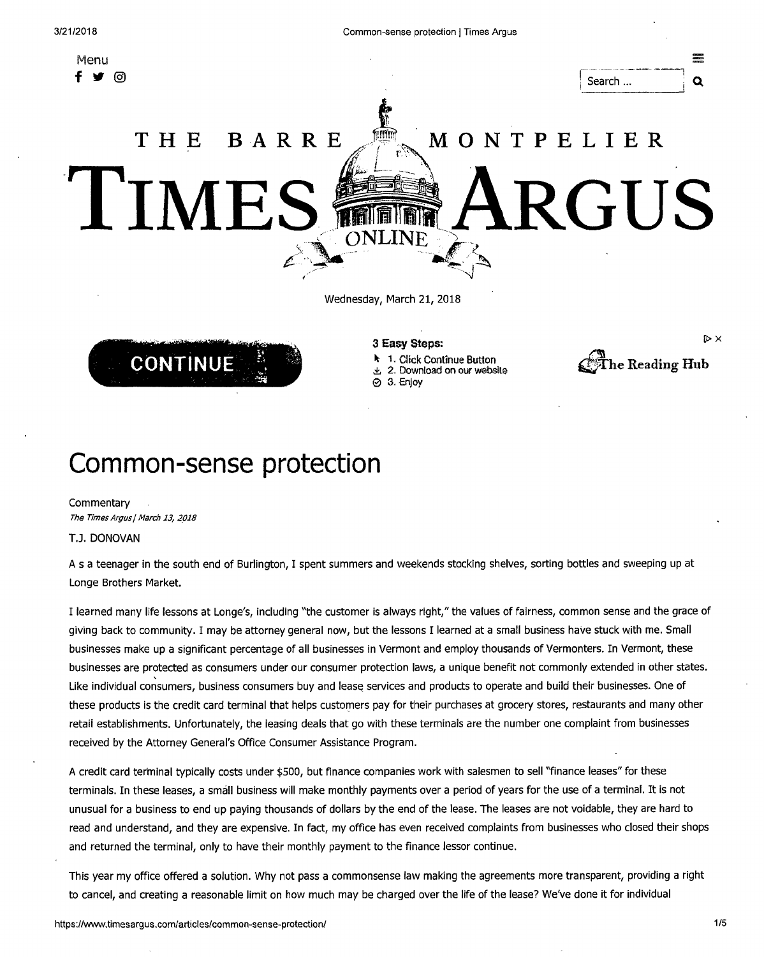Menu

D> X

The Reading Hub

# **MONTPELIER ARGUS THE BARRE TME** ONLINE

Wednesday, March 21, 2018



#### **3 Easy Steps:**

- 1. Click Continue Button
- 2. Download on our website

e 3. Enjoy

## **Common-sense protection**

**Commentary** The Times Argus | March 13, 2018

#### **T.J. DONOVAN**

A s a teenager in the south end of Burlington, I spent summers and weekends stocking shelves, sorting bottles and sweeping up at Longe Brothers Market.

I learned many life lessons at Longe's, including "the customer is always right," the values of fairness, common sense and the grace of giving back to community. I may be attorney general now, but the lessons I learned at a small business have stuck with me. Small businesses make up a significant percentage of all businesses in Vermont and employ thousands of Vermonters. In Vermont, these businesses are protected as consumers under our consumer protection laws, a unique benefit not commonly extended in other states. Like individual consumers, business consumers buy and lease services and products to operate and build their businesses. One of these products is the credit card terminal that helps customers pay for their purchases at grocery stores, restaurants and many other retail establishments. Unfortunately, the leasing deals that go with these terminals are the number one complaint from businesses received by the Attorney General's Office Consumer Assistance Program.

A credit card terminal typically costs under \$500, but finance companies work with salesmen to sell "finance leases" for these terminals. In these leases, a small business will make monthly payments over a period of years for the use of a terminal. It is not unusual for a business to end up paying thousands of dollars by the end of the lease. The leases are not voidable, they are hard to read and understand, and they are expensive. In fact, my office has even received complaints from businesses who closed their shops and returned the terminal, only to have their monthly payment to the finance lessor continue.

This year my office offered a solution. Why not pass a commonsense law making the agreements more transparent, providing a right to cancel, and creating a reasonable limit on how much may be charged over the life of the lease? We've done it for individual